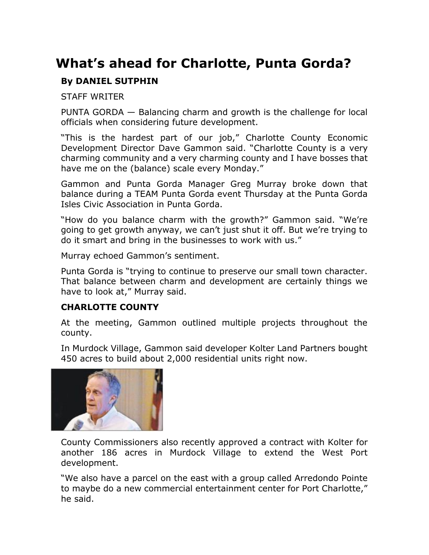## **What's ahead for Charlotte, Punta Gorda?**

## **By DANIEL SUTPHIN**

STAFF WRITER

PUNTA GORDA — Balancing charm and growth is the challenge for local officials when considering future development.

"This is the hardest part of our job," Charlotte County Economic Development Director Dave Gammon said. "Charlotte County is a very charming community and a very charming county and I have bosses that have me on the (balance) scale every Monday."

Gammon and Punta Gorda Manager Greg Murray broke down that balance during a TEAM Punta Gorda event Thursday at the Punta Gorda Isles Civic Association in Punta Gorda.

"How do you balance charm with the growth?" Gammon said. "We're going to get growth anyway, we can't just shut it off. But we're trying to do it smart and bring in the businesses to work with us."

Murray echoed Gammon's sentiment.

Punta Gorda is "trying to continue to preserve our small town character. That balance between charm and development are certainly things we have to look at," Murray said.

## **CHARLOTTE COUNTY**

At the meeting, Gammon outlined multiple projects throughout the county.

In Murdock Village, Gammon said developer Kolter Land Partners bought 450 acres to build about 2,000 residential units right now.



County Commissioners also recently approved a contract with Kolter for another 186 acres in Murdock Village to extend the West Port development.

"We also have a parcel on the east with a group called Arredondo Pointe to maybe do a new commercial entertainment center for Port Charlotte," he said.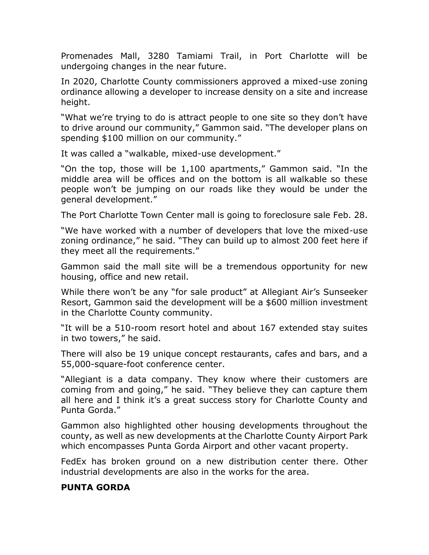Promenades Mall, 3280 Tamiami Trail, in Port Charlotte will be undergoing changes in the near future.

In 2020, Charlotte County commissioners approved a mixed-use zoning ordinance allowing a developer to increase density on a site and increase height.

"What we're trying to do is attract people to one site so they don't have to drive around our community," Gammon said. "The developer plans on spending \$100 million on our community."

It was called a "walkable, mixed-use development."

"On the top, those will be 1,100 apartments," Gammon said. "In the middle area will be offices and on the bottom is all walkable so these people won't be jumping on our roads like they would be under the general development."

The Port Charlotte Town Center mall is going to foreclosure sale Feb. 28.

"We have worked with a number of developers that love the mixed-use zoning ordinance," he said. "They can build up to almost 200 feet here if they meet all the requirements."

Gammon said the mall site will be a tremendous opportunity for new housing, office and new retail.

While there won't be any "for sale product" at Allegiant Air's Sunseeker Resort, Gammon said the development will be a \$600 million investment in the Charlotte County community.

"It will be a 510-room resort hotel and about 167 extended stay suites in two towers," he said.

There will also be 19 unique concept restaurants, cafes and bars, and a 55,000-square-foot conference center.

"Allegiant is a data company. They know where their customers are coming from and going," he said. "They believe they can capture them all here and I think it's a great success story for Charlotte County and Punta Gorda."

Gammon also highlighted other housing developments throughout the county, as well as new developments at the Charlotte County Airport Park which encompasses Punta Gorda Airport and other vacant property.

FedEx has broken ground on a new distribution center there. Other industrial developments are also in the works for the area.

## **PUNTA GORDA**